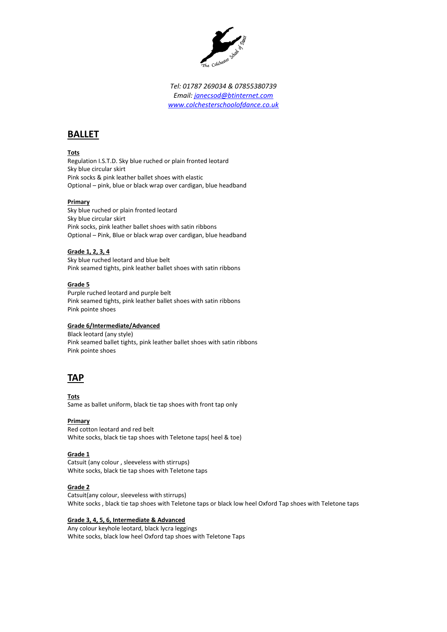

*Tel: 01787 269034 & 07855380739 Email: [janecsod@btinternet.com](mailto:janecsod@btinternet.com) [www.colchesterschoolofdance.co.uk](http://www.colchesterschoolofdance.co.uk/)*

# **BALLET**

#### **Tots**

Regulation I.S.T.D. Sky blue ruched or plain fronted leotard Sky blue circular skirt Pink socks & pink leather ballet shoes with elastic Optional – pink, blue or black wrap over cardigan, blue headband

#### **Primary**

Sky blue ruched or plain fronted leotard Sky blue circular skirt Pink socks, pink leather ballet shoes with satin ribbons Optional – Pink, Blue or black wrap over cardigan, blue headband

#### **Grade 1, 2, 3, 4**

Sky blue ruched leotard and blue belt Pink seamed tights, pink leather ballet shoes with satin ribbons

#### **Grade 5**

Purple ruched leotard and purple belt Pink seamed tights, pink leather ballet shoes with satin ribbons Pink pointe shoes

### **Grade 6/Intermediate/Advanced**

Black leotard (any style) Pink seamed ballet tights, pink leather ballet shoes with satin ribbons Pink pointe shoes

## **TAP**

**Tots** Same as ballet uniform, black tie tap shoes with front tap only

**Primary** Red cotton leotard and red belt White socks, black tie tap shoes with Teletone taps( heel & toe)

#### **Grade 1**

Catsuit (any colour , sleeveless with stirrups) White socks, black tie tap shoes with Teletone taps

#### **Grade 2**

Catsuit(any colour, sleeveless with stirrups) White socks , black tie tap shoes with Teletone taps or black low heel Oxford Tap shoes with Teletone taps

#### **Grade 3, 4, 5, 6, Intermediate & Advanced**

Any colour keyhole leotard, black lycra leggings White socks, black low heel Oxford tap shoes with Teletone Taps